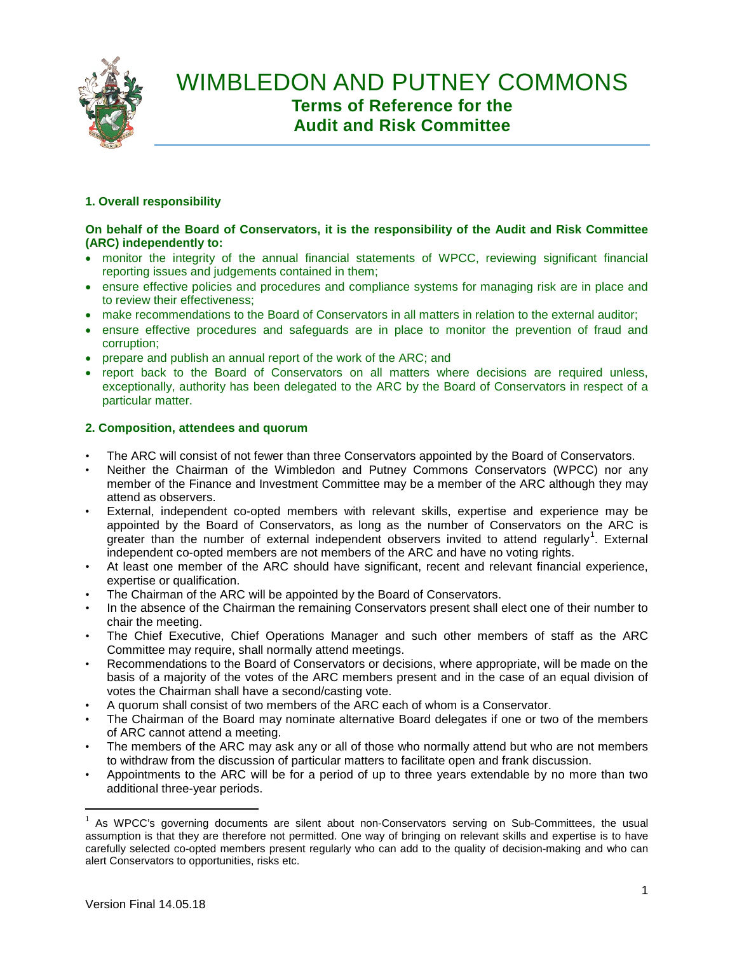

# **1. Overall responsibility**

## **On behalf of the Board of Conservators, it is the responsibility of the Audit and Risk Committee (ARC) independently to:**

- monitor the integrity of the annual financial statements of WPCC, reviewing significant financial reporting issues and judgements contained in them;
- ensure effective policies and procedures and compliance systems for managing risk are in place and to review their effectiveness;
- make recommendations to the Board of Conservators in all matters in relation to the external auditor:
- ensure effective procedures and safeguards are in place to monitor the prevention of fraud and corruption;
- prepare and publish an annual report of the work of the ARC; and
- report back to the Board of Conservators on all matters where decisions are required unless, exceptionally, authority has been delegated to the ARC by the Board of Conservators in respect of a particular matter.

### **2. Composition, attendees and quorum**

- The ARC will consist of not fewer than three Conservators appointed by the Board of Conservators.
- Neither the Chairman of the Wimbledon and Putney Commons Conservators (WPCC) nor any member of the Finance and Investment Committee may be a member of the ARC although they may attend as observers.
- External, independent co-opted members with relevant skills, expertise and experience may be appointed by the Board of Conservators, as long as the number of Conservators on the ARC is greater than the number of external independent observers invited to attend regularly<sup>1</sup>. External independent co-opted members are not members of the ARC and have no voting rights.
- At least one member of the ARC should have significant, recent and relevant financial experience, expertise or qualification.
- The Chairman of the ARC will be appointed by the Board of Conservators.
- In the absence of the Chairman the remaining Conservators present shall elect one of their number to chair the meeting.
- The Chief Executive, Chief Operations Manager and such other members of staff as the ARC Committee may require, shall normally attend meetings.
- Recommendations to the Board of Conservators or decisions, where appropriate, will be made on the basis of a majority of the votes of the ARC members present and in the case of an equal division of votes the Chairman shall have a second/casting vote.
- A quorum shall consist of two members of the ARC each of whom is a Conservator.
- The Chairman of the Board may nominate alternative Board delegates if one or two of the members of ARC cannot attend a meeting.
- The members of the ARC may ask any or all of those who normally attend but who are not members to withdraw from the discussion of particular matters to facilitate open and frank discussion.
- Appointments to the ARC will be for a period of up to three years extendable by no more than two additional three-year periods.

 $1$  As WPCC's governing documents are silent about non-Conservators serving on Sub-Committees, the usual assumption is that they are therefore not permitted. One way of bringing on relevant skills and expertise is to have carefully selected co-opted members present regularly who can add to the quality of decision-making and who can alert Conservators to opportunities, risks etc.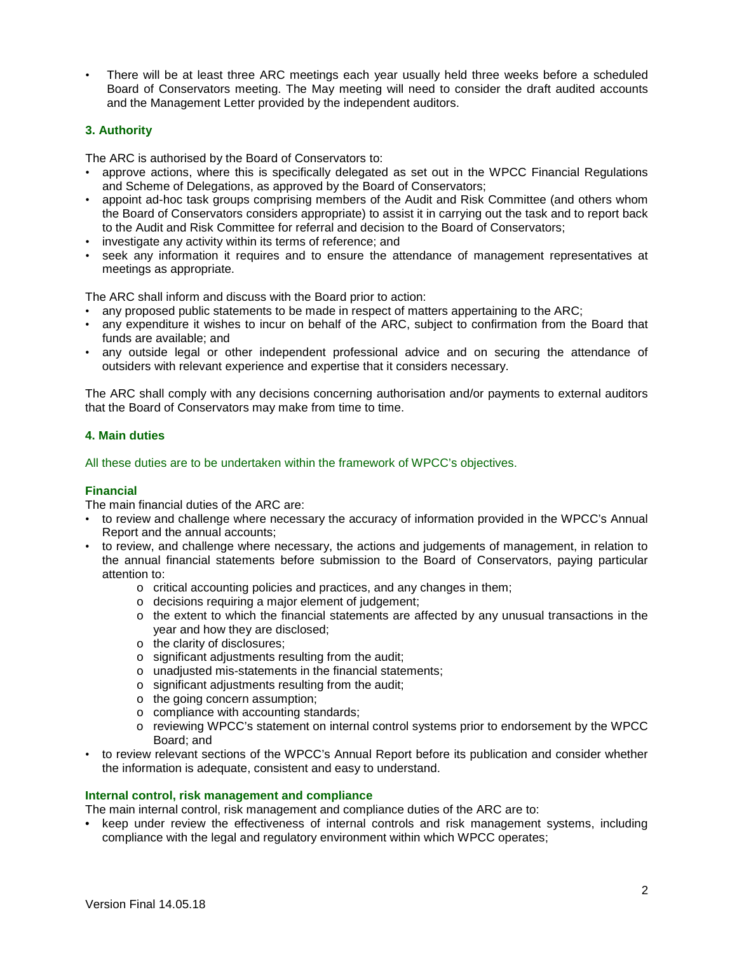• There will be at least three ARC meetings each year usually held three weeks before a scheduled Board of Conservators meeting. The May meeting will need to consider the draft audited accounts and the Management Letter provided by the independent auditors.

## **3. Authority**

The ARC is authorised by the Board of Conservators to:

- approve actions, where this is specifically delegated as set out in the WPCC Financial Regulations and Scheme of Delegations, as approved by the Board of Conservators;
- appoint ad-hoc task groups comprising members of the Audit and Risk Committee (and others whom the Board of Conservators considers appropriate) to assist it in carrying out the task and to report back to the Audit and Risk Committee for referral and decision to the Board of Conservators;
- investigate any activity within its terms of reference: and
- seek any information it requires and to ensure the attendance of management representatives at meetings as appropriate.

The ARC shall inform and discuss with the Board prior to action:

- any proposed public statements to be made in respect of matters appertaining to the ARC;
- any expenditure it wishes to incur on behalf of the ARC, subject to confirmation from the Board that funds are available; and
- any outside legal or other independent professional advice and on securing the attendance of outsiders with relevant experience and expertise that it considers necessary.

The ARC shall comply with any decisions concerning authorisation and/or payments to external auditors that the Board of Conservators may make from time to time.

#### **4. Main duties**

All these duties are to be undertaken within the framework of WPCC's objectives.

### **Financial**

The main financial duties of the ARC are:

- to review and challenge where necessary the accuracy of information provided in the WPCC's Annual Report and the annual accounts;
- to review, and challenge where necessary, the actions and judgements of management, in relation to the annual financial statements before submission to the Board of Conservators, paying particular attention to:
	- o critical accounting policies and practices, and any changes in them;
	- o decisions requiring a major element of judgement;
	- $\circ$  the extent to which the financial statements are affected by any unusual transactions in the year and how they are disclosed;
	- o the clarity of disclosures;
	- o significant adjustments resulting from the audit;
	- o unadjusted mis-statements in the financial statements;
	- o significant adjustments resulting from the audit;
	- o the going concern assumption;
	- o compliance with accounting standards;
	- o reviewing WPCC's statement on internal control systems prior to endorsement by the WPCC Board; and
- to review relevant sections of the WPCC's Annual Report before its publication and consider whether the information is adequate, consistent and easy to understand.

#### **Internal control, risk management and compliance**

The main internal control, risk management and compliance duties of the ARC are to:

• keep under review the effectiveness of internal controls and risk management systems, including compliance with the legal and regulatory environment within which WPCC operates;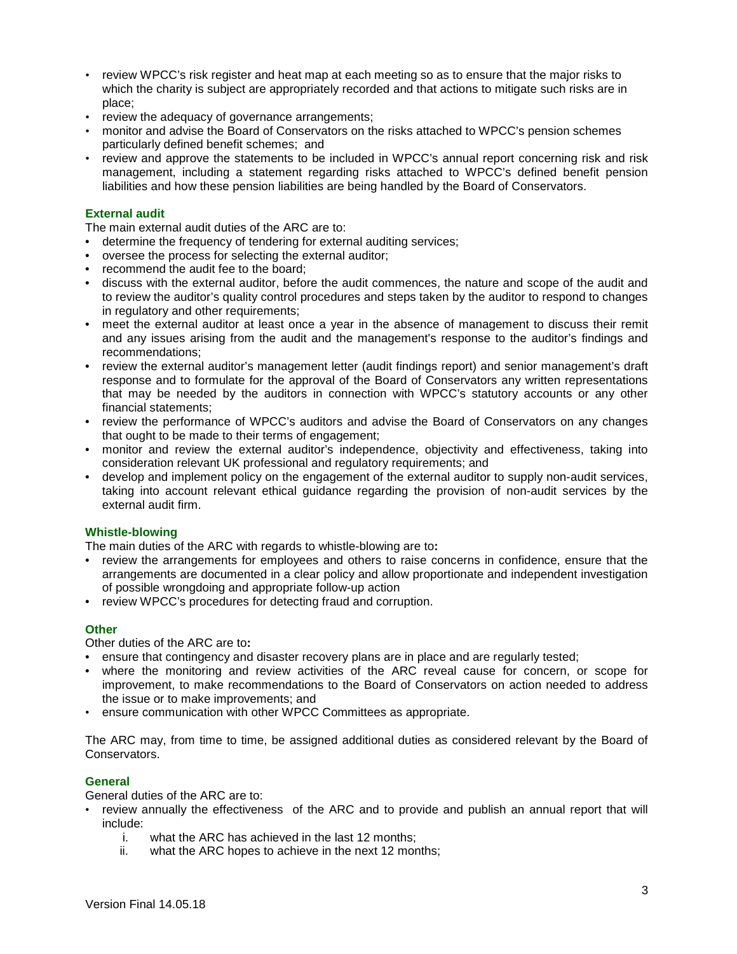- review WPCC's risk register and heat map at each meeting so as to ensure that the major risks to which the charity is subject are appropriately recorded and that actions to mitigate such risks are in place;
- review the adequacy of governance arrangements;
- monitor and advise the Board of Conservators on the risks attached to WPCC's pension schemes particularly defined benefit schemes; and
- review and approve the statements to be included in WPCC's annual report concerning risk and risk management, including a statement regarding risks attached to WPCC's defined benefit pension liabilities and how these pension liabilities are being handled by the Board of Conservators.

## **External audit**

The main external audit duties of the ARC are to:

- determine the frequency of tendering for external auditing services:
- oversee the process for selecting the external auditor;
- recommend the audit fee to the board;
- discuss with the external auditor, before the audit commences, the nature and scope of the audit and to review the auditor's quality control procedures and steps taken by the auditor to respond to changes in regulatory and other requirements;
- meet the external auditor at least once a year in the absence of management to discuss their remit and any issues arising from the audit and the management's response to the auditor's findings and recommendations;
- review the external auditor's management letter (audit findings report) and senior management's draft response and to formulate for the approval of the Board of Conservators any written representations that may be needed by the auditors in connection with WPCC's statutory accounts or any other financial statements;
- review the performance of WPCC's auditors and advise the Board of Conservators on any changes that ought to be made to their terms of engagement;
- monitor and review the external auditor's independence, objectivity and effectiveness, taking into consideration relevant UK professional and regulatory requirements; and
- develop and implement policy on the engagement of the external auditor to supply non-audit services, taking into account relevant ethical guidance regarding the provision of non-audit services by the external audit firm.

### **Whistle-blowing**

The main duties of the ARC with regards to whistle-blowing are to**:**

- review the arrangements for employees and others to raise concerns in confidence, ensure that the arrangements are documented in a clear policy and allow proportionate and independent investigation of possible wrongdoing and appropriate follow-up action
- review WPCC's procedures for detecting fraud and corruption.

### **Other**

Other duties of the ARC are to**:**

- ensure that contingency and disaster recovery plans are in place and are regularly tested;
- where the monitoring and review activities of the ARC reveal cause for concern, or scope for improvement, to make recommendations to the Board of Conservators on action needed to address the issue or to make improvements; and
- ensure communication with other WPCC Committees as appropriate.

The ARC may, from time to time, be assigned additional duties as considered relevant by the Board of Conservators.

### **General**

General duties of the ARC are to:

- review annually the effectiveness of the ARC and to provide and publish an annual report that will include:
	- i. what the ARC has achieved in the last 12 months;
	- ii. what the ARC hopes to achieve in the next 12 months;